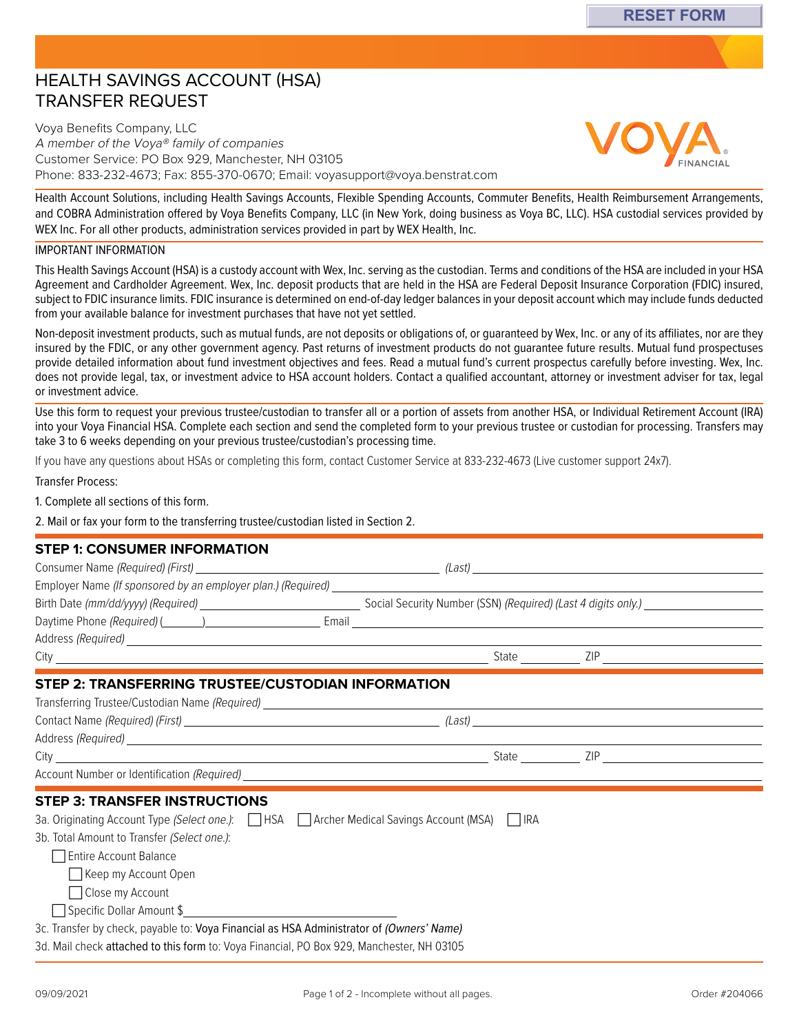# HEALTH SAVINGS ACCOUNT (HSA) TRANSFER REQUEST

Voya Benefits Company, LLC A member of the Voya® family of companies Customer Service: PO Box 929, Manchester, NH 03105 Phone: 833-232-4673; Fax: 855-370-0670; Email: [voyasupport@voya.benstrat.com](mailto:voyasupport@voya.benstrat.com)

Health Account Solutions, including Health Savings Accounts, Flexible Spending Accounts, Commuter Benefits, Health Reimbursement Arrangements, and COBRA Administration offered by Voya Benefits Company, LLC (in New York, doing business as Voya BC, LLC). HSA custodial services provided by WEX Inc. For all other products, administration services provided in part by WEX Health, Inc.

#### IMPORTANT INFORMATION

This Health Savings Account (HSA) is a custody account with Wex, Inc. serving as the custodian. Terms and conditions of the HSA are included in your HSA Agreement and Cardholder Agreement. Wex, Inc. deposit products that are held in the HSA are Federal Deposit Insurance Corporation (FDIC) insured, subject to FDIC insurance limits. FDIC insurance is determined on end-of-day ledger balances in your deposit account which may include funds deducted from your available balance for investment purchases that have not yet settled.

Non-deposit investment products, such as mutual funds, are not deposits or obligations of, or guaranteed by Wex, Inc. or any of its affiliates, nor are they insured by the FDIC, or any other government agency. Past returns of investment products do not guarantee future results. Mutual fund prospectuses provide detailed information about fund investment objectives and fees. Read a mutual fund's current prospectus carefully before investing. Wex, Inc. does not provide legal, tax, or investment advice to HSA account holders. Contact a qualified accountant, attorney or investment adviser for tax, legal or investment advice.

Use this form to request your previous trustee/custodian to transfer all or a portion of assets from another HSA, or Individual Retirement Account (IRA) into your Voya Financial HSA. Complete each section and send the completed form to your previous trustee or custodian for processing. Transfers may take 3 to 6 weeks depending on your previous trustee/custodian's processing time.

If you have any questions about HSAs or completing this form, contact Customer Service at 833-232-4673 (Live customer support 24x7).

Transfer Process:

1. Complete all sections of this form.

2. Mail or fax your form to the transferring trustee/custodian listed in Section 2.

## **STEP 1: CONSUMER INFORMATION**

| STEP 2: TRANSFERRING TRUSTEE/CUSTODIAN INFORMATION                                        |  |       |                         |
|-------------------------------------------------------------------------------------------|--|-------|-------------------------|
|                                                                                           |  |       |                         |
|                                                                                           |  |       |                         |
|                                                                                           |  |       |                         |
|                                                                                           |  | State | ZIP <b>Example 2008</b> |
|                                                                                           |  |       |                         |
| <b>STEP 3: TRANSFER INSTRUCTIONS</b>                                                      |  |       |                         |
| 3a. Originating Account Type (Select one.): 15A Archer Medical Savings Account (MSA) 4RA  |  |       |                         |
| 3b. Total Amount to Transfer (Select one.):                                               |  |       |                         |
| Entire Account Balance                                                                    |  |       |                         |
| Keep my Account Open                                                                      |  |       |                         |
| □ Close my Account                                                                        |  |       |                         |
| Specific Dollar Amount \$                                                                 |  |       |                         |
| 3c. Transfer by check, payable to: Voya Financial as HSA Administrator of (Owners' Name)  |  |       |                         |
| 3d. Mail check attached to this form to: Voya Financial, PO Box 929, Manchester, NH 03105 |  |       |                         |